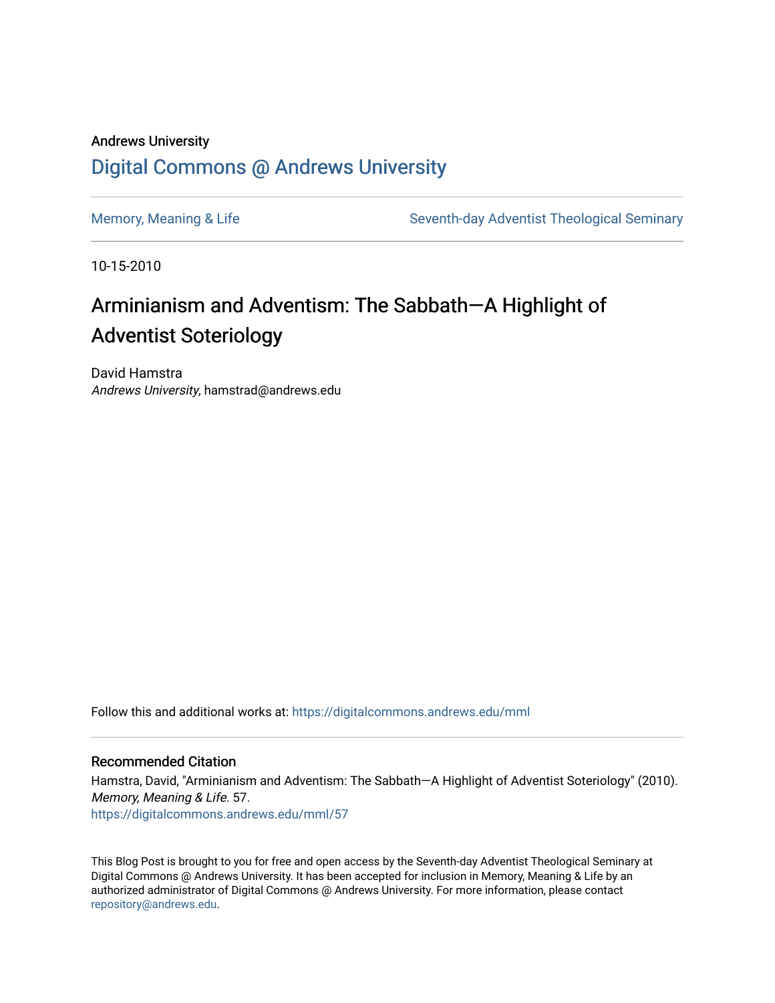### Andrews University [Digital Commons @ Andrews University](https://digitalcommons.andrews.edu/)

[Memory, Meaning & Life](https://digitalcommons.andrews.edu/mml) Seventh-day Adventist Theological Seminary

10-15-2010

### Arminianism and Adventism: The Sabbath—A Highlight of Adventist Soteriology

David Hamstra Andrews University, hamstrad@andrews.edu

Follow this and additional works at: [https://digitalcommons.andrews.edu/mml](https://digitalcommons.andrews.edu/mml?utm_source=digitalcommons.andrews.edu%2Fmml%2F57&utm_medium=PDF&utm_campaign=PDFCoverPages) 

#### Recommended Citation

Hamstra, David, "Arminianism and Adventism: The Sabbath—A Highlight of Adventist Soteriology" (2010). Memory, Meaning & Life. 57. [https://digitalcommons.andrews.edu/mml/57](https://digitalcommons.andrews.edu/mml/57?utm_source=digitalcommons.andrews.edu%2Fmml%2F57&utm_medium=PDF&utm_campaign=PDFCoverPages)

This Blog Post is brought to you for free and open access by the Seventh-day Adventist Theological Seminary at Digital Commons @ Andrews University. It has been accepted for inclusion in Memory, Meaning & Life by an authorized administrator of Digital Commons @ Andrews University. For more information, please contact [repository@andrews.edu](mailto:repository@andrews.edu).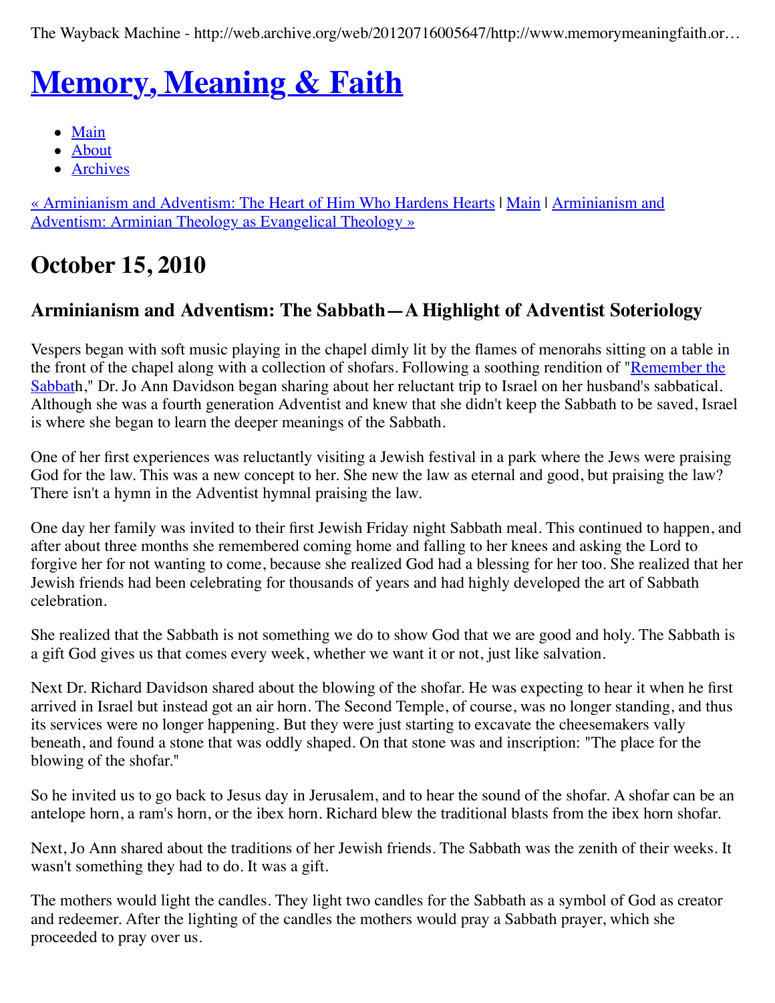The Wayback Machine - http://web.archive.org/web/20120716005647/http://www.memorymeaningfaith.or…

# **[Memory, Meaning & Faith](http://web.archive.org/web/20120716005647/http://www.memorymeaningfaith.org/blog/)**

- $\bullet$  [Main](http://web.archive.org/web/20120716005647/http://www.memorymeaningfaith.org/blog)
- [About](http://web.archive.org/web/20120716005647/http://www.memorymeaningfaith.org/blog/about.html)
- [Archives](http://web.archive.org/web/20120716005647/http://www.memorymeaningfaith.org/blog/archives.html)

[« Arminianism and Adventism: The Heart of Him Who Hardens Heart](http://web.archive.org/web/20120716005647/http://www.memorymeaningfaith.org/blog/2010/10/arminianism-and-adventism-the-heart-of-him-who-hardens-hearts-1.html)[s |](http://web.archive.org/web/20120716005647/http://www.memorymeaningfaith.org/blog/2010/10/arminian-theology-evangelical-theology.html) [Mai](http://web.archive.org/web/20120716005647/http://www.memorymeaningfaith.org/blog/)[n](http://web.archive.org/web/20120716005647/http://www.memorymeaningfaith.org/blog/2010/10/arminian-theology-evangelical-theology.html) | Arminianism and Adventism: Arminian Theology as Evangelical Theology »

## **October 15, 2010**

### **Arminianism and Adventism: The Sabbath—A Highlight of Adventist Soteriology**

Vespers began with soft music playing in the chapel dimly lit by the flames of menorahs sitting on a table in [the front of the chapel along with a collection of shofars. Following a soothing rendition of "Remember the](http://web.archive.org/web/20120716005647/http://www.youtube.com/watch?v=lBCJyFDMr2k&feature=related) Sabbath," Dr. Jo Ann Davidson began sharing about her reluctant trip to Israel on her husband's sabbatical. Although she was a fourth generation Adventist and knew that she didn't keep the Sabbath to be saved, Israel is where she began to learn the deeper meanings of the Sabbath.

One of her first experiences was reluctantly visiting a Jewish festival in a park where the Jews were praising God for the law. This was a new concept to her. She new the law as eternal and good, but praising the law? There isn't a hymn in the Adventist hymnal praising the law.

One day her family was invited to their first Jewish Friday night Sabbath meal. This continued to happen, and after about three months she remembered coming home and falling to her knees and asking the Lord to forgive her for not wanting to come, because she realized God had a blessing for her too. She realized that her Jewish friends had been celebrating for thousands of years and had highly developed the art of Sabbath celebration.

She realized that the Sabbath is not something we do to show God that we are good and holy. The Sabbath is a gift God gives us that comes every week, whether we want it or not, just like salvation.

Next Dr. Richard Davidson shared about the blowing of the shofar. He was expecting to hear it when he first arrived in Israel but instead got an air horn. The Second Temple, of course, was no longer standing, and thus its services were no longer happening. But they were just starting to excavate the cheesemakers vally beneath, and found a stone that was oddly shaped. On that stone was and inscription: "The place for the blowing of the shofar."

So he invited us to go back to Jesus day in Jerusalem, and to hear the sound of the shofar. A shofar can be an antelope horn, a ram's horn, or the ibex horn. Richard blew the traditional blasts from the ibex horn shofar.

Next, Jo Ann shared about the traditions of her Jewish friends. The Sabbath was the zenith of their weeks. It wasn't something they had to do. It was a gift.

The mothers would light the candles. They light two candles for the Sabbath as a symbol of God as creator and redeemer. After the lighting of the candles the mothers would pray a Sabbath prayer, which she proceeded to pray over us.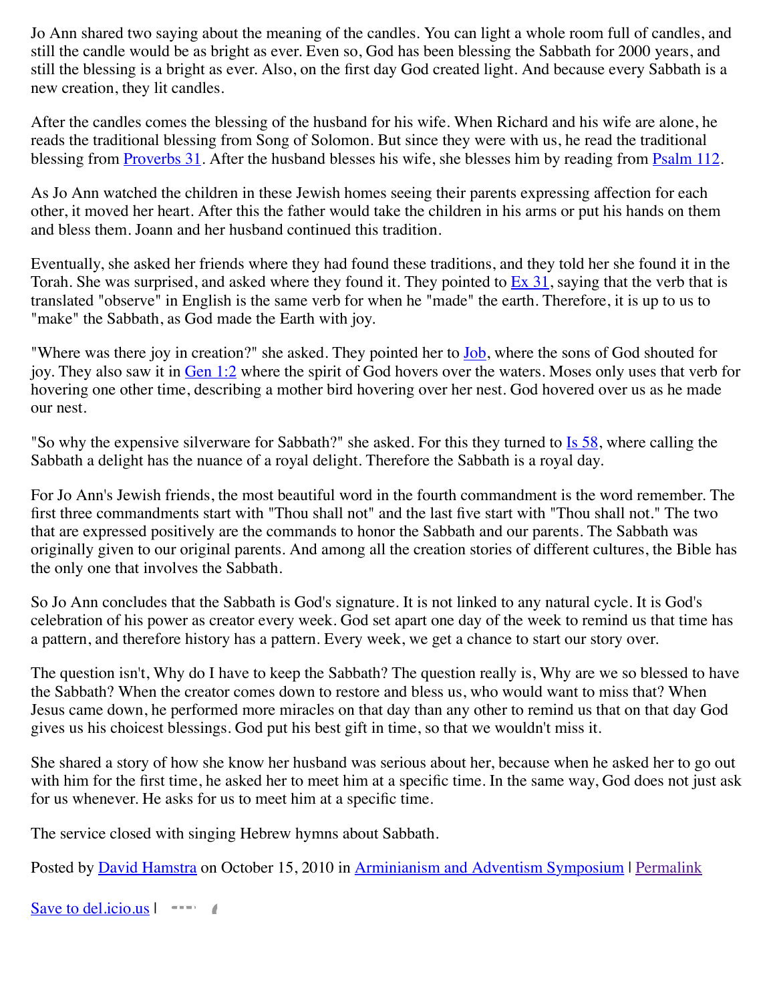Jo Ann shared two saying about the meaning of the candles. You can light a whole room full of candles, and still the candle would be as bright as ever. Even so, God has been blessing the Sabbath for 2000 years, and still the blessing is a bright as ever. Also, on the first day God created light. And because every Sabbath is a new creation, they lit candles.

After the candles comes the blessing of the husband for his wife. When Richard and his wife are alone, he reads the traditional blessing from Song of Solomon. But since they were with us, he read the traditional blessing from **[Proverbs 31](http://web.archive.org/web/20120716005647/http://www.biblestudytools.com/kjv/proverbs/31.html)**. After the husband blesses his wife, she blesses him by reading from **Psalm 112**.

As Jo Ann watched the children in these Jewish homes seeing their parents expressing affection for each other, it moved her heart. After this the father would take the children in his arms or put his hands on them and bless them. Joann and her husband continued this tradition.

Eventually, she asked her friends where they had found these traditions, and they told her she found it in the Torah. She was surprised, and asked where they found it. They pointed to  $Ex\overline{31}$ , saying that the verb that is translated "observe" in English is the same verb for when he "made" the earth. Therefore, it is up to us to "make" the Sabbath, as God made the Earth with joy.

"Where was there joy in creation?" she asked. They pointed her to **Job**, where the sons of God shouted for joy. They also saw it in [Gen 1:2](http://web.archive.org/web/20120716005647/http://www.biblestudytools.com/interlinear-bible/passage.aspx?q=Gen+1%3A2&t=nas) where the spirit of God hovers over the waters. Moses only uses that verb for hovering one other time, describing a mother bird hovering over her nest. God hovered over us as he made our nest.

"So why the expensive silverware for Sabbath?" she asked. For this they turned to <u>Is 58</u>, where calling the Sabbath a delight has the nuance of a royal delight. Therefore the Sabbath is a royal day.

For Jo Ann's Jewish friends, the most beautiful word in the fourth commandment is the word remember. The first three commandments start with "Thou shall not" and the last five start with "Thou shall not." The two that are expressed positively are the commands to honor the Sabbath and our parents. The Sabbath was originally given to our original parents. And among all the creation stories of different cultures, the Bible has the only one that involves the Sabbath.

So Jo Ann concludes that the Sabbath is God's signature. It is not linked to any natural cycle. It is God's celebration of his power as creator every week. God set apart one day of the week to remind us that time has a pattern, and therefore history has a pattern. Every week, we get a chance to start our story over.

The question isn't, Why do I have to keep the Sabbath? The question really is, Why are we so blessed to have the Sabbath? When the creator comes down to restore and bless us, who would want to miss that? When Jesus came down, he performed more miracles on that day than any other to remind us that on that day God gives us his choicest blessings. God put his best gift in time, so that we wouldn't miss it.

She shared a story of how she know her husband was serious about her, because when he asked her to go out with him for the first time, he asked her to meet him at a specific time. In the same way, God does not just ask for us whenever. He asks for us to meet him at a specific time.

The service closed with singing Hebrew hymns about Sabbath.

Posted by [David Hamstra](http://web.archive.org/web/20120716005647/http://profile.typepad.com/davidhamstra) on October 15, 2010 in [Arminianism and Adventism Symposium](http://web.archive.org/web/20120716005647/http://www.memorymeaningfaith.org/blog/arminianism-and-adventism-symposium/) | [Permalink](http://web.archive.org/web/20120716005647/http://www.memorymeaningfaith.org/blog/2010/10/sabbath-adventist-soteriology.html)

[Save to del.icio.us](http://web.archive.org/web/20120716005647/http://del.icio.us/post) |  $\longrightarrow$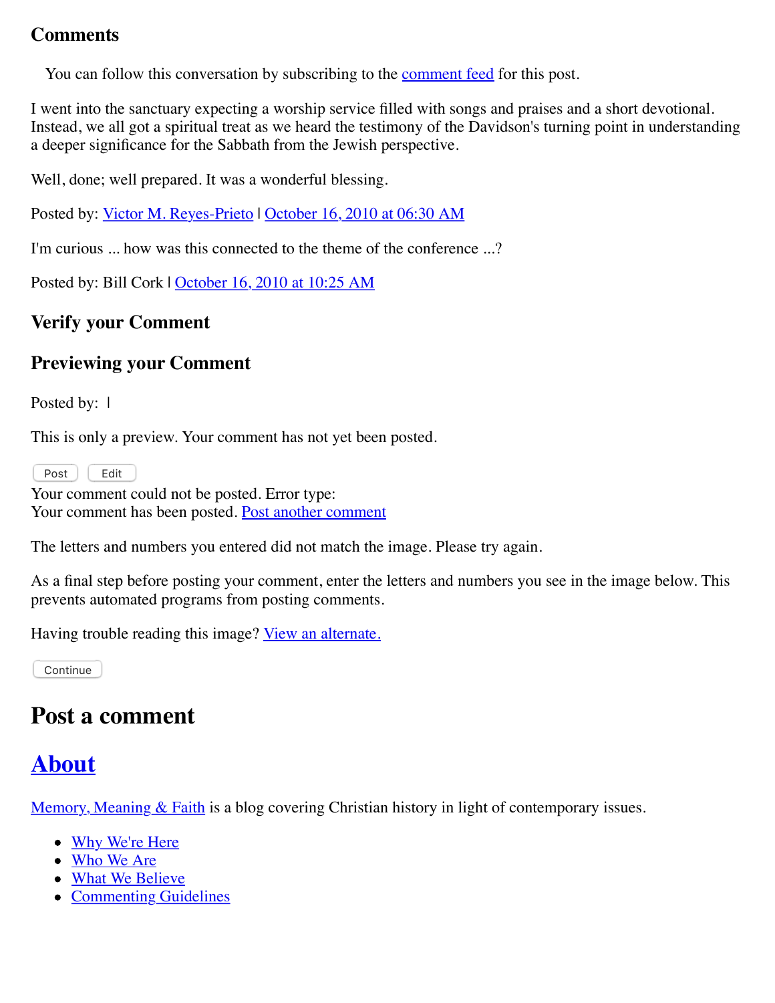#### **Comments**

You can follow this conversation by subscribing to the [comment feed](http://web.archive.org/web/20120716005647/http://www.memorymeaningfaith.org/blog/2010/10/sabbath-adventist-soteriology/comments/atom.xml) for this post.

I went into the sanctuary expecting a worship service filled with songs and praises and a short devotional. Instead, we all got a spiritual treat as we heard the testimony of the Davidson's turning point in understanding a deeper significance for the Sabbath from the Jewish perspective.

Well, done; well prepared. It was a wonderful blessing.

Posted by: <u>Victor M. Reyes-Prieto</u> | [October 16, 2010 at 06:30 AM](http://web.archive.org/web/20120716005647/http://www.memorymeaningfaith.org/blog/2010/10/sabbath-adventist-soteriology.html?cid=6a01287656f488970c0134883c9749970c#comment-6a01287656f488970c0134883c9749970c)

I'm curious ... how was this connected to the theme of the conference ...?

Posted by: Bill Cork | [October 16, 2010 at 10:25 AM](http://web.archive.org/web/20120716005647/http://www.memorymeaningfaith.org/blog/2010/10/sabbath-adventist-soteriology.html?cid=6a01287656f488970c0133f51d7925970b#comment-6a01287656f488970c0133f51d7925970b)

### **Verify your Comment**

### **Previewing your Comment**

Posted by: 1

This is only a preview. Your comment has not yet been posted.

Post | Edit

Your comment could not be posted. Error type: Your comment has been posted. [Post another comment](javascript:void%200;)

<span id="page-3-0"></span>The letters and numbers you entered did not match the image. Please try again.

As a final step before posting your comment, enter the letters and numbers you see in the image below. This prevents automated programs from posting comments.

Having trouble reading this image? [View an alternate.](#page-3-0)

Continue

### **Post a comment**

### **[About](http://web.archive.org/web/20120716005647/http://memorymeaningfaith.typepad.com/blog/about.html)**

[Memory, Meaning & Faith](http://web.archive.org/web/20120716005647/http://www.memorymeaningfaith.org/blog/about.html) is a blog covering Christian history in light of contemporary issues.

- [Why We're Here](http://web.archive.org/web/20120716005647/http://www.memorymeaningfaith.org/blog/why-were-here.html)
- [Who We Are](http://web.archive.org/web/20120716005647/http://www.memorymeaningfaith.org/blog/who-we-are.html)
- [What We Believe](http://web.archive.org/web/20120716005647/http://www.memorymeaningfaith.org/blog/what-we-believe.html)
- [Commenting Guidelines](http://web.archive.org/web/20120716005647/http://www.memorymeaningfaith.org/blog/commenting-guidelines.html)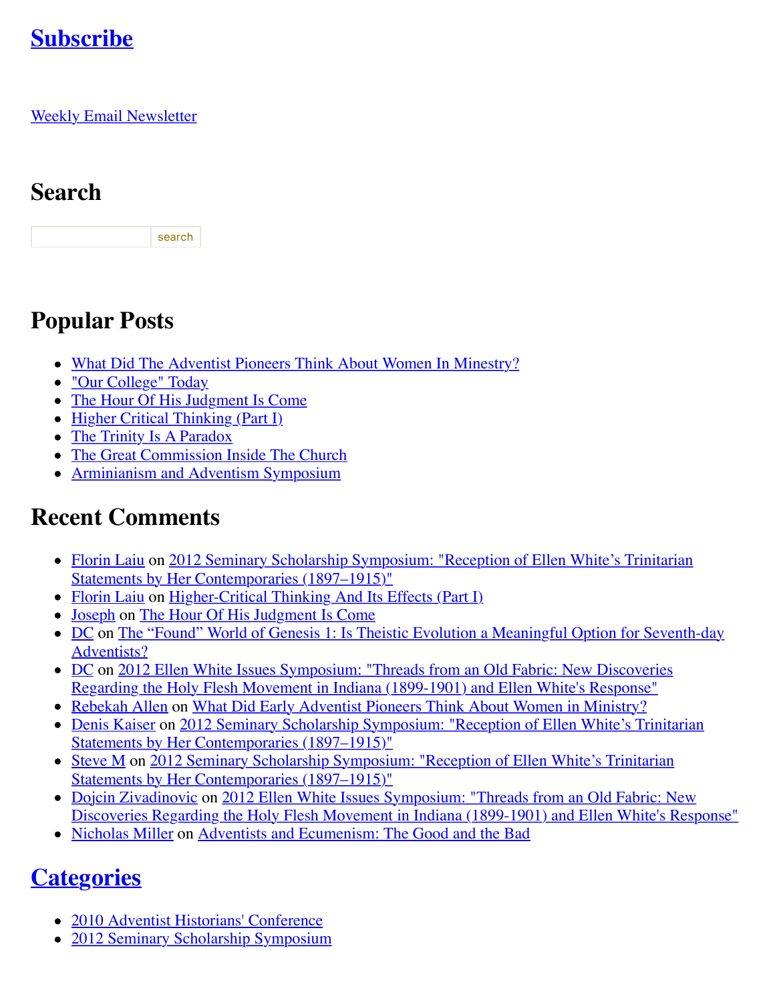## **[Subscribe](http://web.archive.org/web/20120716005647/http://www.memorymeaningfaith.org/blog/subscribe.html)**

**[Weekly Email Newsletter](http://web.archive.org/web/20120716005647/http://eepurl.com/im9P)** 

## **Search**

search

## **Popular Posts**

- [What Did The Adventist Pioneers Think About Women In Minestry?](http://web.archive.org/web/20120716005647/http://www.memorymeaningfaith.org/blog/2010/04/adventist-pioneers-women-ministry.html)
- ["Our College" Today](http://web.archive.org/web/20120716005647/http://www.memorymeaningfaith.org/blog/2010/06/our-college-today-.html)
- [The Hour Of His Judgment Is Come](http://web.archive.org/web/20120716005647/http://www.memorymeaningfaith.org/blog/2010/04/hour-judgment-is-come.html)
- [Higher Critical Thinking \(Part I\)](http://web.archive.org/web/20120716005647/http://www.memorymeaningfaith.org/blog/2010/03/highercritical-thinking-part-i.html)
- [The Trinity Is A Paradox](http://web.archive.org/web/20120716005647/http://www.memorymeaningfaith.org/blog/2010/03/the-trinity-is-a-paradox.html)
- [The Great Commission Inside The Church](http://web.archive.org/web/20120716005647/http://www.memorymeaningfaith.org/blog/2010/04/the-great-comission-inside-the-church.html)
- [Arminianism and Adventism Symposium](http://web.archive.org/web/20120716005647/http://www.memorymeaningfaith.org/blog/arminianism-and-adventism-symposium/)

## **Recent Comments**

- [Florin Lai](http://web.archive.org/web/20120716005647/http://www.memorymeaningfaith.org/blog/2012/02/2012-seminary-scholarship-symposium-.html?cid=6a01287656f488970c017616148ab1970c#comment-6a01287656f488970c017616148ab1970c)[u on 2012 Seminary Scholarship Symposium: "Reception of Ellen White's Trinitarian](http://web.archive.org/web/20120716005647/http://www.memorymeaningfaith.org/blog/2012/02/2012-seminary-scholarship-symposium-.html) Statements by Her Contemporaries (1897–1915)"
- [Florin Laiu](http://web.archive.org/web/20120716005647/http://www.memorymeaningfaith.org/blog/2010/03/highercritical-thinking-part-i.html?cid=6a01287656f488970c017615d52191970c#comment-6a01287656f488970c017615d52191970c) on [Higher-Critical Thinking And Its Effects \(Part I\)](http://web.archive.org/web/20120716005647/http://www.memorymeaningfaith.org/blog/2010/03/highercritical-thinking-part-i.html)
- [Joseph](http://web.archive.org/web/20120716005647/http://www.memorymeaningfaith.org/blog/2010/04/hour-judgment-is-come.html?cid=6a01287656f488970c0176159b59aa970c#comment-6a01287656f488970c0176159b59aa970c) on [The Hour Of His Judgment Is Come](http://web.archive.org/web/20120716005647/http://www.memorymeaningfaith.org/blog/2010/04/hour-judgment-is-come.html)
- [DC on The "Found" World of Genesis 1: Is Theistic Evolution a Meaningful Option for Seventh-day](http://web.archive.org/web/20120716005647/http://www.memorymeaningfaith.org/blog/2011/01/found-world-of-genesis-1-theistic-evolution-1.html) Adventists?
- [DC on 2012 Ellen White Issues Symposium: "Threads from an Old Fabric: New Discoveries](http://web.archive.org/web/20120716005647/http://www.memorymeaningfaith.org/blog/2012/04/2012-ellen-whites-issues-symposium-threads-from-an-old-fabric-holy-flesh-movement-indiana.html) Regarding the Holy Flesh Movement in Indiana (1899-1901) and Ellen White's Response"
- [Rebekah Allen](http://web.archive.org/web/20120716005647/http://www.memorymeaningfaith.org/blog/2010/04/adventist-pioneers-women-ministry.html?cid=6a01287656f488970c0168eb2eb63d970c#comment-6a01287656f488970c0168eb2eb63d970c) on [What Did Early Adventist Pioneers Think About Women in Ministry?](http://web.archive.org/web/20120716005647/http://www.memorymeaningfaith.org/blog/2010/04/adventist-pioneers-women-ministry.html)
- [Denis Kaiser on 2012 Seminary Scholarship Symposium: "Reception of Ellen White's Trinitarian](http://web.archive.org/web/20120716005647/http://www.memorymeaningfaith.org/blog/2012/02/2012-seminary-scholarship-symposium-.html) Statements by Her Contemporaries (1897–1915)"
- [Steve M on 2012 Seminary Scholarship Symposium: "Reception of Ellen White's Trinitarian](http://web.archive.org/web/20120716005647/http://www.memorymeaningfaith.org/blog/2012/02/2012-seminary-scholarship-symposium-.html) Statements by Her Contemporaries (1897–1915)"
- [Dojcin Zivadinovic](http://web.archive.org/web/20120716005647/http://www.memorymeaningfaith.org/blog/2012/04/2012-ellen-whites-issues-symposium-threads-from-an-old-fabric-holy-flesh-movement-indiana.html?cid=6a01287656f488970c0168ea439e71970c#comment-6a01287656f488970c0168ea439e71970c) on 2012 Ellen White Issues Symposium: "Threads from an Old Fabric: New [Discoveries Regarding the Holy Flesh Movement in Indiana \(1899-1901\) and Ellen White's Response"](http://web.archive.org/web/20120716005647/http://www.memorymeaningfaith.org/blog/2012/04/2012-ellen-whites-issues-symposium-threads-from-an-old-fabric-holy-flesh-movement-indiana.html)
- [Nicholas Miller](http://web.archive.org/web/20120716005647/http://www.memorymeaningfaith.org/blog/2012/02/adventists-and-ecumenism-the-good-and-the-bad.html?cid=6a01287656f488970c01676529bb76970b#comment-6a01287656f488970c01676529bb76970b) on [Adventists and Ecumenism: The Good and the Bad](http://web.archive.org/web/20120716005647/http://www.memorymeaningfaith.org/blog/2012/02/adventists-and-ecumenism-the-good-and-the-bad.html)

## **[Categories](http://web.archive.org/web/20120716005647/http://www.memorymeaningfaith.org/blog/archives.html)**

- [2010 Adventist Historians' Conference](http://web.archive.org/web/20120716005647/http://www.memorymeaningfaith.org/blog/2010-adventist-historians-conference/)
- [2012 Seminary Scholarship Symposium](http://web.archive.org/web/20120716005647/http://www.memorymeaningfaith.org/blog/2012-seminary-scholarship-symposium/)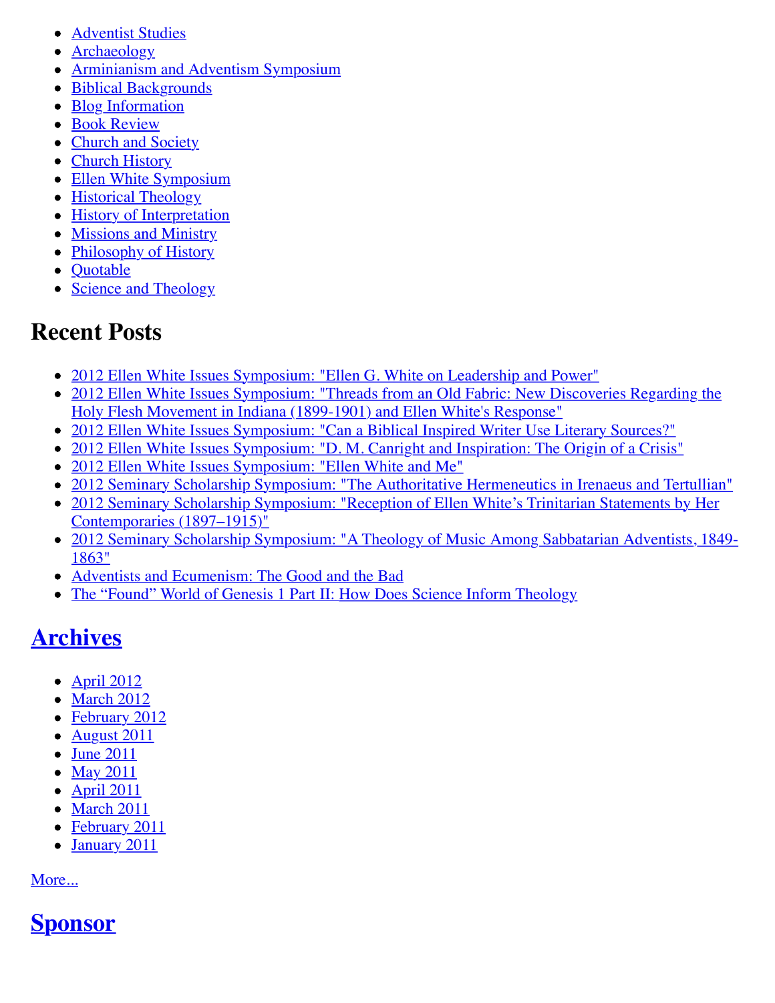- [Adventist Studies](http://web.archive.org/web/20120716005647/http://www.memorymeaningfaith.org/blog/adventist-studies/)
- [Archaeology](http://web.archive.org/web/20120716005647/http://www.memorymeaningfaith.org/blog/archaeology/)
- [Arminianism and Adventism Symposium](http://web.archive.org/web/20120716005647/http://www.memorymeaningfaith.org/blog/arminianism-and-adventism-symposium/)
- [Biblical Backgrounds](http://web.archive.org/web/20120716005647/http://www.memorymeaningfaith.org/blog/biblical-backgrounds/)
- [Blog Information](http://web.archive.org/web/20120716005647/http://www.memorymeaningfaith.org/blog/blog-info/)
- **[Book Review](http://web.archive.org/web/20120716005647/http://www.memorymeaningfaith.org/blog/book-review/)**
- [Church and Society](http://web.archive.org/web/20120716005647/http://www.memorymeaningfaith.org/blog/church-and-society/)
- [Church History](http://web.archive.org/web/20120716005647/http://www.memorymeaningfaith.org/blog/church-history/)
- [Ellen White Symposium](http://web.archive.org/web/20120716005647/http://www.memorymeaningfaith.org/blog/ellen-white-symposium/)
- [Historical Theology](http://web.archive.org/web/20120716005647/http://www.memorymeaningfaith.org/blog/theology/)
- [History of Interpretation](http://web.archive.org/web/20120716005647/http://www.memorymeaningfaith.org/blog/history-of-interpretation/)
- [Missions and Ministry](http://web.archive.org/web/20120716005647/http://www.memorymeaningfaith.org/blog/missions-and-ministry/)
- [Philosophy of History](http://web.archive.org/web/20120716005647/http://www.memorymeaningfaith.org/blog/philosophy-of-history/)
- Ouotable
- [Science and Theology](http://web.archive.org/web/20120716005647/http://www.memorymeaningfaith.org/blog/science-and-theology/)

## **Recent Posts**

- [2012 Ellen White Issues Symposium: "Ellen G. White on Leadership and Power"](http://web.archive.org/web/20120716005647/http://www.memorymeaningfaith.org/blog/2012/04/2012-ellen-whites-issues-symposium-white-on-leadership-and-power.html)
- [2012 Ellen White Issues Symposium: "Threads from an Old Fabric: New Discoveries Regarding the](http://web.archive.org/web/20120716005647/http://www.memorymeaningfaith.org/blog/2012/04/2012-ellen-whites-issues-symposium-threads-from-an-old-fabric-holy-flesh-movement-indiana.html) Holy Flesh Movement in Indiana (1899-1901) and Ellen White's Response"
- [2012 Ellen White Issues Symposium: "Can a Biblical Inspired Writer Use Literary Sources?"](http://web.archive.org/web/20120716005647/http://www.memorymeaningfaith.org/blog/2012/03/2012-ellen-whites-issues-symposium-inspired-writer-literary-sources.html)
- [2012 Ellen White Issues Symposium: "D. M. Canright and Inspiration: The Origin of a Crisis"](http://web.archive.org/web/20120716005647/http://www.memorymeaningfaith.org/blog/2012/03/2012-ellen-whites-issues-symposium-canright-ellen-white-inspiration-crisis.html)
- [2012 Ellen White Issues Symposium: "Ellen White and Me"](http://web.archive.org/web/20120716005647/http://www.memorymeaningfaith.org/blog/2012/03/2012-ellen-white-issues-symposium-ellen-white-and-me.html)
- [2012 Seminary Scholarship Symposium: "The Authoritative Hermeneutics in Irenaeus and Tertullian"](http://web.archive.org/web/20120716005647/http://www.memorymeaningfaith.org/blog/2012/03/2012-sss-authoritative-hermeneutics-in-irenaeus-and-tertullian.html)
- [2012 Seminary Scholarship Symposium: "Reception of Ellen White's Trinitarian Statements by Her](http://web.archive.org/web/20120716005647/http://www.memorymeaningfaith.org/blog/2012/02/2012-seminary-scholarship-symposium-.html) Contemporaries (1897–1915)"
- [2012 Seminary Scholarship Symposium: "A Theology of Music Among Sabbatarian Adventists, 1849-](http://web.archive.org/web/20120716005647/http://www.memorymeaningfaith.org/blog/2012/02/2012-sss-theology-of-music-sabbatarian-adventists-1849-1863.html) 1863"
- [Adventists and Ecumenism: The Good and the Bad](http://web.archive.org/web/20120716005647/http://www.memorymeaningfaith.org/blog/2012/02/adventists-and-ecumenism-the-good-and-the-bad.html)
- [The "Found" World of Genesis 1 Part II: How Does Science Inform Theology](http://web.archive.org/web/20120716005647/http://www.memorymeaningfaith.org/blog/2011/08/the-found-world-of-genesis-1-part-ii-science-informing-theology.html)

## **[Archives](http://web.archive.org/web/20120716005647/http://www.memorymeaningfaith.org/blog/archives.html)**

- April  $2012$
- [March 2012](http://web.archive.org/web/20120716005647/http://www.memorymeaningfaith.org/blog/2012/03/index.html)
- [February 2012](http://web.archive.org/web/20120716005647/http://www.memorymeaningfaith.org/blog/2012/02/index.html)
- $\bullet$  [August 2011](http://web.archive.org/web/20120716005647/http://www.memorymeaningfaith.org/blog/2011/08/index.html)
- [June 2011](http://web.archive.org/web/20120716005647/http://www.memorymeaningfaith.org/blog/2011/06/index.html)
- [May 2011](http://web.archive.org/web/20120716005647/http://www.memorymeaningfaith.org/blog/2011/05/index.html)
- $\bullet$  [April 2011](http://web.archive.org/web/20120716005647/http://www.memorymeaningfaith.org/blog/2011/04/index.html)
- [March 2011](http://web.archive.org/web/20120716005647/http://www.memorymeaningfaith.org/blog/2011/03/index.html)
- [February 2011](http://web.archive.org/web/20120716005647/http://www.memorymeaningfaith.org/blog/2011/02/index.html)
- [January 2011](http://web.archive.org/web/20120716005647/http://www.memorymeaningfaith.org/blog/2011/01/index.html)

[More...](http://web.archive.org/web/20120716005647/http://www.memorymeaningfaith.org/blog/archives.html)

## **[Sponsor](http://web.archive.org/web/20120716005647/http://www.andrews.edu/)**